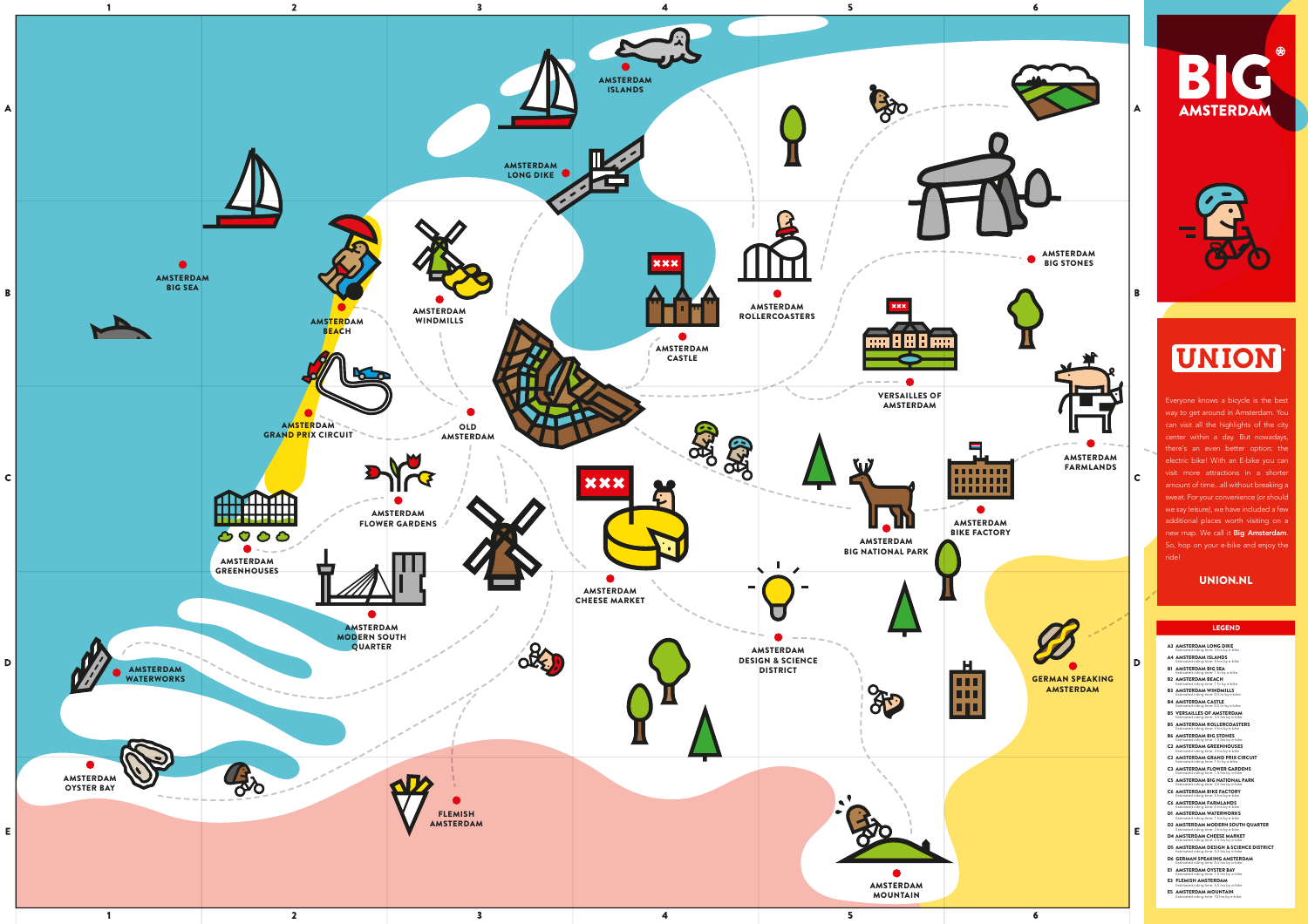





## UNION

E5 AMSTERDAM MOUNTAIN ated riding time: 10 hrs by e-bike

|      | A3 AMSTERDAM LONG DIKE<br>Estimated riding time: 3 hrs by e-bike                   |
|------|------------------------------------------------------------------------------------|
|      | A4 AMSTERDAM ISLANDS<br>Estimated riding time: 5 hrs by e-bike                     |
| B1 - | <b>AMSTERDAM BIG SEA</b><br>Estimated riding time: 1 hr by e-bike                  |
|      | <b>B2 AMSTERDAM BEACH</b><br>Estimated riding time: 1 hr by e-bike                 |
|      | <b>B3 AMSTERDAM WINDMILLS</b><br>Estimated riding time: 0.5 hr by e-bike           |
|      | B4 AMSTERDAM CASTLE<br>Estimated riding time: 0.5 hr by e-bike                     |
|      | B5  VERSAILLES OF AMSTERDAM<br>Estimated riding time: 3.5 hrs by e-bike            |
|      | <b>B5 AMSTERDAM ROLLERCOASTERS</b><br>Estimated riding time: 3 hrs by e-bike       |
|      | B6  AMSTERDAM BIG STONES<br>Estimated riding time: 7.5 hrs by e-bike               |
|      | C2 AMSTERDAM GREENHOUSES<br>Estimated riding time: 3 hrs by e-bike                 |
|      | C2 AMSTERDAM GRAND PRIX CIRCUIT<br>Estimated riding time: 1 hr by e-bike           |
|      | C3 AMSTERDAM FLOWER GARDENS<br>Estimated riding time: 1.5 hrs by e-bike            |
|      | C5 AMSTERDAM BIG NATIONAL PARK<br>Estimated riding time: 3.5 hrs by e-bike         |
|      | C6 AMSTERDAM BIKE FACTORY<br>Estimated riding time: 5 hrs by e-bike                |
|      | C6 AMSTERDAM FARMLANDS<br>Estimated riding time: 6 hrs by e-bike                   |
|      | D1 AMSTERDAM WATERWORKS<br>Estimated riding time: 7 hrs by e-bike                  |
|      | D2 AMSTERDAM MODERN SOUTH QUARTER<br>Estimated riding time: 3 hrs by e-bike        |
|      | <b>D4 AMSTERDAM CHEESE MARKET</b><br>Estimated riding time: 2.5 hrs by e-bike      |
|      | D5 AMSTERDAM DESIGN & SCIENCE DISTRICT<br>Estimated riding time: 5.5 hrs by e-bike |
|      | D6 GERMAN SPEAKING AMSTERDAM<br>Estimated riding time: 6.5 hrs by e-bike           |
| E1.  | <b>AMSTERDAM OYSTER BAY</b><br>Estimated riding time: 7.5 hrs by e-bike            |
|      | E3 FLEMISH AMSTERDAM<br>Estimated riding time: 5.5 hrs by e-bike                   |

## LEGEND

Everyone knows a bicycle is the best way to get around in Amsterdam. You can visit all the highlights of the city center within a day. But nowadays, there's an even better option: the electric bike! With an E-bike you can visit more attractions in a shorter amount of time...all without breaking a sweat. For your convenience (or should we say leisure), we have included a few additional places worth visiting on a new map. We call it **Big Amsterdam**. So, hop on your e-bike and enjoy the ride!

## UNION.NL